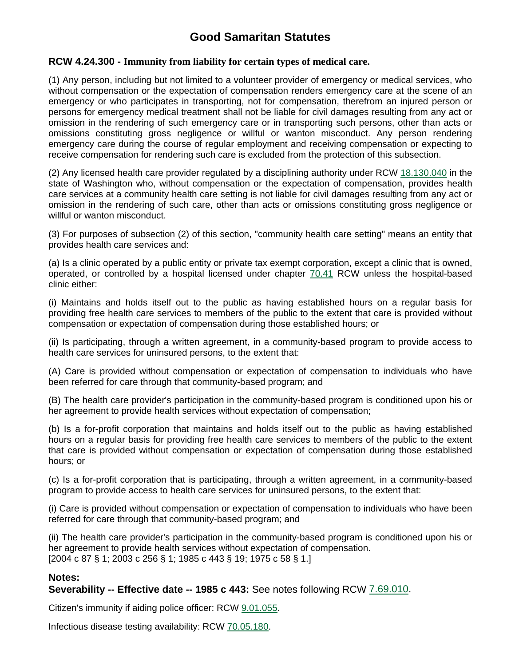# **Good Samaritan Statutes**

#### **RCW 4.24.300 - Immunity from liability for certain types of medical care.**

(1) Any person, including but not limited to a volunteer provider of emergency or medical services, who without compensation or the expectation of compensation renders emergency care at the scene of an emergency or who participates in transporting, not for compensation, therefrom an injured person or persons for emergency medical treatment shall not be liable for civil damages resulting from any act or omission in the rendering of such emergency care or in transporting such persons, other than acts or omissions constituting gross negligence or willful or wanton misconduct. Any person rendering emergency care during the course of regular employment and receiving compensation or expecting to receive compensation for rendering such care is excluded from the protection of this subsection.

(2) Any licensed health care provider regulated by a disciplining authority under RCW [18.130.040](http://apps.leg.wa.gov/RCW/default.aspx?cite=18.130.040) in the state of Washington who, without compensation or the expectation of compensation, provides health care services at a community health care setting is not liable for civil damages resulting from any act or omission in the rendering of such care, other than acts or omissions constituting gross negligence or willful or wanton misconduct.

(3) For purposes of subsection (2) of this section, "community health care setting" means an entity that provides health care services and:

(a) Is a clinic operated by a public entity or private tax exempt corporation, except a clinic that is owned, operated, or controlled by a hospital licensed under chapter [70.41](http://apps.leg.wa.gov/RCW/default.aspx?cite=70.41) RCW unless the hospital-based clinic either:

(i) Maintains and holds itself out to the public as having established hours on a regular basis for providing free health care services to members of the public to the extent that care is provided without compensation or expectation of compensation during those established hours; or

(ii) Is participating, through a written agreement, in a community-based program to provide access to health care services for uninsured persons, to the extent that:

(A) Care is provided without compensation or expectation of compensation to individuals who have been referred for care through that community-based program; and

(B) The health care provider's participation in the community-based program is conditioned upon his or her agreement to provide health services without expectation of compensation;

(b) Is a for-profit corporation that maintains and holds itself out to the public as having established hours on a regular basis for providing free health care services to members of the public to the extent that care is provided without compensation or expectation of compensation during those established hours; or

(c) Is a for-profit corporation that is participating, through a written agreement, in a community-based program to provide access to health care services for uninsured persons, to the extent that:

(i) Care is provided without compensation or expectation of compensation to individuals who have been referred for care through that community-based program; and

(ii) The health care provider's participation in the community-based program is conditioned upon his or her agreement to provide health services without expectation of compensation. [2004 c 87 § 1; 2003 c 256 § 1; 1985 c 443 § 19; 1975 c 58 § 1.]

#### **Notes:**

**Severability -- Effective date -- 1985 c 443:** See notes following RCW [7.69.010.](http://apps.leg.wa.gov/RCW/default.aspx?cite=7.69.010)

Citizen's immunity if aiding police officer: RCW [9.01.055.](http://apps.leg.wa.gov/RCW/default.aspx?cite=9.01.055)

Infectious disease testing availability: RCW [70.05.180](http://apps.leg.wa.gov/RCW/default.aspx?cite=70.05.180).